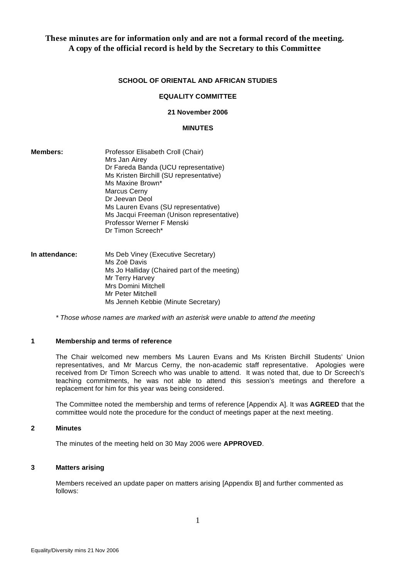# **These minutes are for information only and are not a formal record of the meeting. A copy of the official record is held by the Secretary to this Committee**

### **SCHOOL OF ORIENTAL AND AFRICAN STUDIES**

#### **EQUALITY COMMITTEE**

# **21 November 2006**

### **MINUTES**

| Members: | Professor Elisabeth Croll (Chair)         |
|----------|-------------------------------------------|
|          | Mrs Jan Airey                             |
|          | Dr Fareda Banda (UCU representative)      |
|          | Ms Kristen Birchill (SU representative)   |
|          | Ms Maxine Brown*                          |
|          | Marcus Cerny                              |
|          | Dr Jeevan Deol                            |
|          | Ms Lauren Evans (SU representative)       |
|          | Ms Jacqui Freeman (Unison representative) |
|          | Professor Werner F Menski                 |
|          | Dr Timon Screech*                         |

| In attendance: | Ms Deb Viney (Executive Secretary)           |
|----------------|----------------------------------------------|
|                | Ms Zoë Davis                                 |
|                | Ms Jo Halliday (Chaired part of the meeting) |
|                | Mr Terry Harvey                              |
|                | Mrs Domini Mitchell                          |
|                | Mr Peter Mitchell                            |
|                | Ms Jenneh Kebbie (Minute Secretary)          |

 *\* Those whose names are marked with an asterisk were unable to attend the meeting* 

# **1 Membership and terms of reference**

The Chair welcomed new members Ms Lauren Evans and Ms Kristen Birchill Students' Union representatives, and Mr Marcus Cerny, the non-academic staff representative. Apologies were received from Dr Timon Screech who was unable to attend. It was noted that, due to Dr Screech's teaching commitments, he was not able to attend this session's meetings and therefore a replacement for him for this year was being considered.

The Committee noted the membership and terms of reference [Appendix A]. It was **AGREED** that the committee would note the procedure for the conduct of meetings paper at the next meeting.

#### **2 Minutes**

The minutes of the meeting held on 30 May 2006 were **APPROVED**.

### **3 Matters arising**

Members received an update paper on matters arising [Appendix B] and further commented as follows: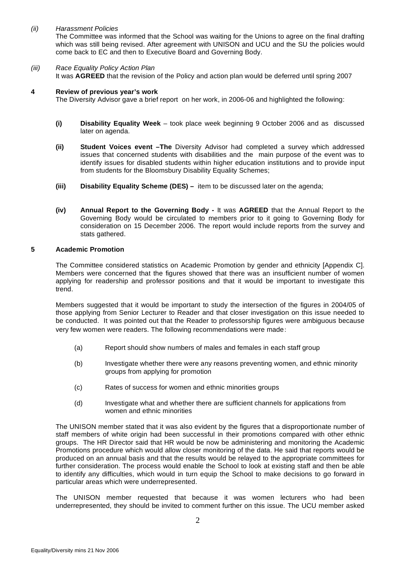# *(ii) Harassment Policies*

The Committee was informed that the School was waiting for the Unions to agree on the final drafting which was still being revised. After agreement with UNISON and UCU and the SU the policies would come back to EC and then to Executive Board and Governing Body.

# *(iii) Race Equality Policy Action Plan*

It was **AGREED** that the revision of the Policy and action plan would be deferred until spring 2007

### **4 Review of previous year's work**

The Diversity Advisor gave a brief report on her work, in 2006-06 and highlighted the following:

- **(i) Disability Equality Week** took place week beginning 9 October 2006 and as discussed later on agenda.
- **(ii) Student Voices event –The** Diversity Advisor had completed a survey which addressed issues that concerned students with disabilities and the main purpose of the event was to identify issues for disabled students within higher education institutions and to provide input from students for the Bloomsbury Disability Equality Schemes;
- **(iii) Disability Equality Scheme (DES)** item to be discussed later on the agenda;
- **(iv) Annual Report to the Governing Body** It was **AGREED** that the Annual Report to the Governing Body would be circulated to members prior to it going to Governing Body for consideration on 15 December 2006. The report would include reports from the survey and stats gathered.

# **5 Academic Promotion**

The Committee considered statistics on Academic Promotion by gender and ethnicity [Appendix C]. Members were concerned that the figures showed that there was an insufficient number of women applying for readership and professor positions and that it would be important to investigate this trend.

Members suggested that it would be important to study the intersection of the figures in 2004/05 of those applying from Senior Lecturer to Reader and that closer investigation on this issue needed to be conducted. It was pointed out that the Reader to professorship figures were ambiguous because very few women were readers. The following recommendations were made:

- (a) Report should show numbers of males and females in each staff group
- (b) Investigate whether there were any reasons preventing women, and ethnic minority groups from applying for promotion
- (c) Rates of success for women and ethnic minorities groups
- (d) Investigate what and whether there are sufficient channels for applications from women and ethnic minorities

The UNISON member stated that it was also evident by the figures that a disproportionate number of staff members of white origin had been successful in their promotions compared with other ethnic groups. The HR Director said that HR would be now be administering and monitoring the Academic Promotions procedure which would allow closer monitoring of the data. He said that reports would be produced on an annual basis and that the results would be relayed to the appropriate committees for further consideration. The process would enable the School to look at existing staff and then be able to identify any difficulties, which would in turn equip the School to make decisions to go forward in particular areas which were underrepresented.

The UNISON member requested that because it was women lecturers who had been underrepresented, they should be invited to comment further on this issue. The UCU member asked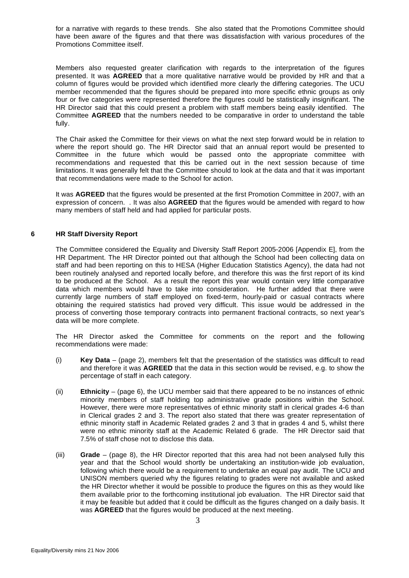for a narrative with regards to these trends. She also stated that the Promotions Committee should have been aware of the figures and that there was dissatisfaction with various procedures of the Promotions Committee itself.

Members also requested greater clarification with regards to the interpretation of the figures presented. It was **AGREED** that a more qualitative narrative would be provided by HR and that a column of figures would be provided which identified more clearly the differing categories. The UCU member recommended that the figures should be prepared into more specific ethnic groups as only four or five categories were represented therefore the figures could be statistically insignificant. The HR Director said that this could present a problem with staff members being easily identified. The Committee **AGREED** that the numbers needed to be comparative in order to understand the table fully.

The Chair asked the Committee for their views on what the next step forward would be in relation to where the report should go. The HR Director said that an annual report would be presented to Committee in the future which would be passed onto the appropriate committee with recommendations and requested that this be carried out in the next session because of time limitations. It was generally felt that the Committee should to look at the data and that it was important that recommendations were made to the School for action.

It was **AGREED** that the figures would be presented at the first Promotion Committee in 2007, with an expression of concern. . It was also **AGREED** that the figures would be amended with regard to how many members of staff held and had applied for particular posts.

# **6 HR Staff Diversity Report**

The Committee considered the Equality and Diversity Staff Report 2005-2006 [Appendix E], from the HR Department. The HR Director pointed out that although the School had been collecting data on staff and had been reporting on this to HESA (Higher Education Statistics Agency), the data had not been routinely analysed and reported locally before, and therefore this was the first report of its kind to be produced at the School. As a result the report this year would contain very little comparative data which members would have to take into consideration. He further added that there were currently large numbers of staff employed on fixed-term, hourly-paid or casual contracts where obtaining the required statistics had proved very difficult. This issue would be addressed in the process of converting those temporary contracts into permanent fractional contracts, so next year's data will be more complete.

The HR Director asked the Committee for comments on the report and the following recommendations were made:

- (i) **Key Data** (page 2), members felt that the presentation of the statistics was difficult to read and therefore it was **AGREED** that the data in this section would be revised, e.g. to show the percentage of staff in each category.
- (ii) **Ethnicity** (page 6), the UCU member said that there appeared to be no instances of ethnic minority members of staff holding top administrative grade positions within the School. However, there were more representatives of ethnic minority staff in clerical grades 4-6 than in Clerical grades 2 and 3. The report also stated that there was greater representation of ethnic minority staff in Academic Related grades 2 and 3 that in grades 4 and 5, whilst there were no ethnic minority staff at the Academic Related 6 grade. The HR Director said that 7.5% of staff chose not to disclose this data.
- (iii) **Grade** (page 8), the HR Director reported that this area had not been analysed fully this year and that the School would shortly be undertaking an institution-wide job evaluation, following which there would be a requirement to undertake an equal pay audit. The UCU and UNISON members queried why the figures relating to grades were not available and asked the HR Director whether it would be possible to produce the figures on this as they would like them available prior to the forthcoming institutional job evaluation. The HR Director said that it may be feasible but added that it could be difficult as the figures changed on a daily basis. It was **AGREED** that the figures would be produced at the next meeting.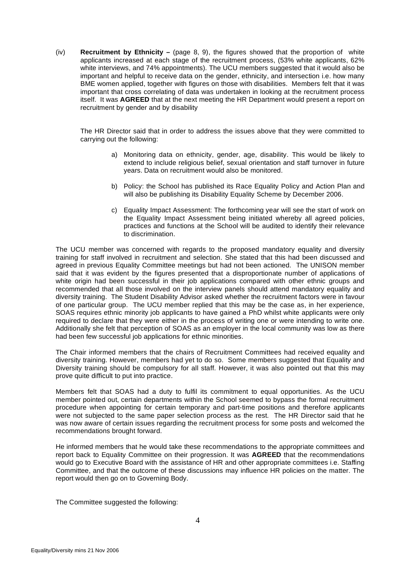(iv) **Recruitment by Ethnicity –** (page 8, 9), the figures showed that the proportion of white applicants increased at each stage of the recruitment process, (53% white applicants, 62% white interviews, and 74% appointments). The UCU members suggested that it would also be important and helpful to receive data on the gender, ethnicity, and intersection i.e. how many BME women applied, together with figures on those with disabilities. Members felt that it was important that cross correlating of data was undertaken in looking at the recruitment process itself. It was **AGREED** that at the next meeting the HR Department would present a report on recruitment by gender and by disability

The HR Director said that in order to address the issues above that they were committed to carrying out the following:

- a) Monitoring data on ethnicity, gender, age, disability. This would be likely to extend to include religious belief, sexual orientation and staff turnover in future years. Data on recruitment would also be monitored.
- b) Policy: the School has published its Race Equality Policy and Action Plan and will also be publishing its Disability Equality Scheme by December 2006.
- c) Equality Impact Assessment: The forthcoming year will see the start of work on the Equality Impact Assessment being initiated whereby all agreed policies, practices and functions at the School will be audited to identify their relevance to discrimination.

The UCU member was concerned with regards to the proposed mandatory equality and diversity training for staff involved in recruitment and selection. She stated that this had been discussed and agreed in previous Equality Committee meetings but had not been actioned. The UNISON member said that it was evident by the figures presented that a disproportionate number of applications of white origin had been successful in their job applications compared with other ethnic groups and recommended that all those involved on the interview panels should attend mandatory equality and diversity training. The Student Disability Advisor asked whether the recruitment factors were in favour of one particular group. The UCU member replied that this may be the case as, in her experience, SOAS requires ethnic minority job applicants to have gained a PhD whilst white applicants were only required to declare that they were either in the process of writing one or were intending to write one. Additionally she felt that perception of SOAS as an employer in the local community was low as there had been few successful job applications for ethnic minorities.

The Chair informed members that the chairs of Recruitment Committees had received equality and diversity training. However, members had yet to do so. Some members suggested that Equality and Diversity training should be compulsory for all staff. However, it was also pointed out that this may prove quite difficult to put into practice.

Members felt that SOAS had a duty to fulfil its commitment to equal opportunities. As the UCU member pointed out, certain departments within the School seemed to bypass the formal recruitment procedure when appointing for certain temporary and part-time positions and therefore applicants were not subjected to the same paper selection process as the rest. The HR Director said that he was now aware of certain issues regarding the recruitment process for some posts and welcomed the recommendations brought forward.

He informed members that he would take these recommendations to the appropriate committees and report back to Equality Committee on their progression. It was **AGREED** that the recommendations would go to Executive Board with the assistance of HR and other appropriate committees i.e. Staffing Committee, and that the outcome of these discussions may influence HR policies on the matter. The report would then go on to Governing Body.

The Committee suggested the following: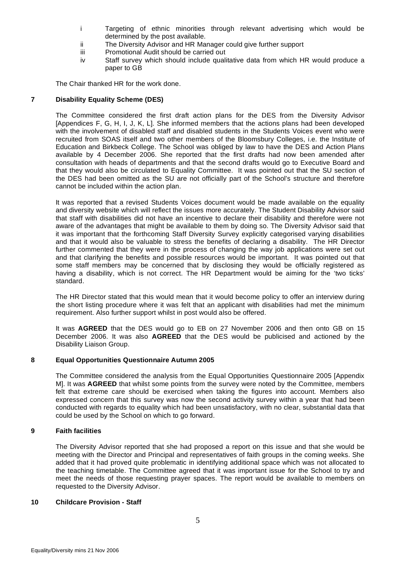- i Targeting of ethnic minorities through relevant advertising which would be determined by the post available.
- ii The Diversity Advisor and HR Manager could give further support
- iii Promotional Audit should be carried out
- iv Staff survey which should include qualitative data from which HR would produce a paper to GB

The Chair thanked HR for the work done.

# **7 Disability Equality Scheme (DES)**

The Committee considered the first draft action plans for the DES from the Diversity Advisor [Appendices F, G, H, I, J, K, L]. She informed members that the actions plans had been developed with the involvement of disabled staff and disabled students in the Students Voices event who were recruited from SOAS itself and two other members of the Bloomsbury Colleges, i.e. the Institute of Education and Birkbeck College. The School was obliged by law to have the DES and Action Plans available by 4 December 2006. She reported that the first drafts had now been amended after consultation with heads of departments and that the second drafts would go to Executive Board and that they would also be circulated to Equality Committee. It was pointed out that the SU section of the DES had been omitted as the SU are not officially part of the School's structure and therefore cannot be included within the action plan.

It was reported that a revised Students Voices document would be made available on the equality and diversity website which will reflect the issues more accurately. The Student Disability Advisor said that staff with disabilities did not have an incentive to declare their disability and therefore were not aware of the advantages that might be available to them by doing so. The Diversity Advisor said that it was important that the forthcoming Staff Diversity Survey explicitly categorised varying disabilities and that it would also be valuable to stress the benefits of declaring a disability. The HR Director further commented that they were in the process of changing the way job applications were set out and that clarifying the benefits and possible resources would be important. It was pointed out that some staff members may be concerned that by disclosing they would be officially registered as having a disability, which is not correct. The HR Department would be aiming for the 'two ticks' standard.

The HR Director stated that this would mean that it would become policy to offer an interview during the short listing procedure where it was felt that an applicant with disabilities had met the minimum requirement. Also further support whilst in post would also be offered.

It was **AGREED** that the DES would go to EB on 27 November 2006 and then onto GB on 15 December 2006. It was also **AGREED** that the DES would be publicised and actioned by the Disability Liaison Group.

# **8 Equal Opportunities Questionnaire Autumn 2005**

The Committee considered the analysis from the Equal Opportunities Questionnaire 2005 [Appendix M]. It was **AGREED** that whilst some points from the survey were noted by the Committee, members felt that extreme care should be exercised when taking the figures into account. Members also expressed concern that this survey was now the second activity survey within a year that had been conducted with regards to equality which had been unsatisfactory, with no clear, substantial data that could be used by the School on which to go forward.

### **9 Faith facilities**

The Diversity Advisor reported that she had proposed a report on this issue and that she would be meeting with the Director and Principal and representatives of faith groups in the coming weeks. She added that it had proved quite problematic in identifying additional space which was not allocated to the teaching timetable. The Committee agreed that it was important issue for the School to try and meet the needs of those requesting prayer spaces. The report would be available to members on requested to the Diversity Advisor.

### **10 Childcare Provision - Staff**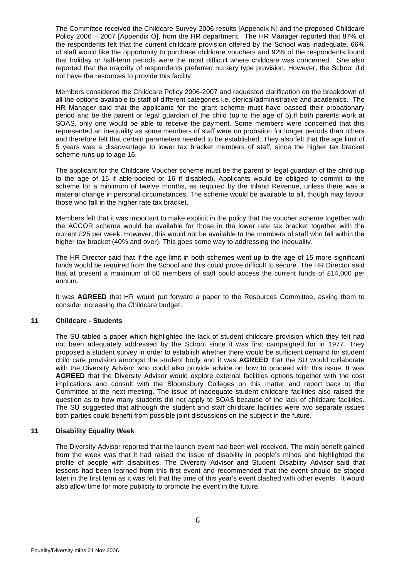The Committee received the Childcare Survey 2006 results [Appendix N] and the proposed Childcare Policy 2006 – 2007 [Appendix O], from the HR department. The HR Manager reported that 87% of the respondents felt that the current childcare provision offered by the School was inadequate. 66% of staff would like the opportunity to purchase childcare vouchers and 92% of the respondents found that holiday or half-term periods were the most difficult where childcare was concerned. She also reported that the majority of respondents preferred nursery type provision. However, the School did not have the resources to provide this facility.

Members considered the Childcare Policy 2006-2007 and requested clarification on the breakdown of all the options available to staff of different categories i.e. clerical/administrative and academics. The HR Manager said that the applicants for the grant scheme must have passed their probationary period and be the parent or legal guardian of the child (up to the age of 5).If both parents work at SOAS, only one would be able to receive the payment. Some members were concerned that this represented an inequality as some members of staff were on probation for longer periods than others and therefore felt that certain parameters needed to be established. They also felt that the age limit of 5 years was a disadvantage to lower tax bracket members of staff, since the higher tax bracket scheme runs up to age 16.

The applicant for the Childcare Voucher scheme must be the parent or legal guardian of the child (up to the age of 15 if able-bodied or 16 if disabled). Applicants would be obliged to commit to the scheme for a minimum of twelve months, as required by the Inland Revenue, unless there was a material change in personal circumstances. The scheme would be available to all, though may favour those who fall in the higher rate tax bracket.

Members felt that it was important to make explicit in the policy that the voucher scheme together with the ACCOR scheme would be available for those in the lower rate tax bracket together with the current £25 per week. However, this would not be available to the members of staff who fall within the higher tax bracket (40% and over). This goes some way to addressing the inequality.

The HR Director said that if the age limit in both schemes went up to the age of 15 more significant funds would be required from the School and this could prove difficult to secure. The HR Director said that at present a maximum of 50 members of staff could access the current funds of £14,000 per annum.

It was **AGREED** that HR would put forward a paper to the Resources Committee, asking them to consider increasing the Childcare budget.

### **11 Childcare - Students**

The SU tabled a paper which highlighted the lack of student childcare provision which they felt had not been adequately addressed by the School since it was first campaigned for in 1977. They proposed a student survey in order to establish whether there would be sufficient demand for student child care provision amongst the student body and it was **AGREED** that the SU would collaborate with the Diversity Advisor who could also provide advice on how to proceed with this issue. It was **AGREED** that the Diversity Advisor would explore external facilities options together with the cost implications and consult with the Bloomsbury Colleges on this matter and report back to the Committee at the next meeting. The issue of inadequate student childcare facilities also raised the question as to how many students did not apply to SOAS because of the lack of childcare facilities. The SU suggested that although the student and staff childcare facilities were two separate issues both parties could benefit from possible joint discussions on the subject in the future.

# **11 Disability Equality Week**

The Diversity Advisor reported that the launch event had been well received. The main benefit gained from the week was that it had raised the issue of disability in people's minds and highlighted the profile of people with disabilities. The Diversity Advisor and Student Disability Advisor said that lessons had been learned from this first event and recommended that the event should be staged later in the first term as it was felt that the time of this year's event clashed with other events. It would also allow time for more publicity to promote the event in the future.